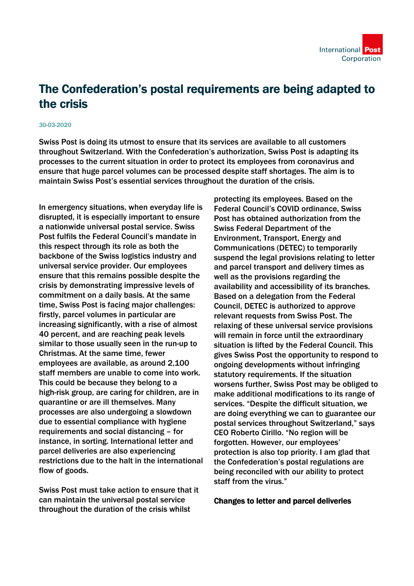## The Confederation's postal requirements are being adapted to the crisis

## 30-03-2020

Swiss Post is doing its utmost to ensure that its services are available to all customers throughout Switzerland. With the Confederation's authorization, Swiss Post is adapting its processes to the current situation in order to protect its employees from coronavirus and ensure that huge parcel volumes can be processed despite staff shortages. The aim is to maintain Swiss Post's essential services throughout the duration of the crisis.

In emergency situations, when everyday life is disrupted, it is especially important to ensure a nationwide universal postal service. Swiss Post fulfils the Federal Council's mandate in this respect through its role as both the backbone of the Swiss logistics industry and universal service provider. Our employees ensure that this remains possible despite the crisis by demonstrating impressive levels of commitment on a daily basis. At the same time, Swiss Post is facing major challenges: firstly, parcel volumes in particular are increasing significantly, with a rise of almost 40 percent, and are reaching peak levels similar to those usually seen in the run-up to Christmas. At the same time, fewer employees are available, as around 2,100 staff members are unable to come into work. This could be because they belong to a high-risk group, are caring for children, are in quarantine or are ill themselves. Many processes are also undergoing a slowdown due to essential compliance with hygiene requirements and social distancing – for instance, in sorting. International letter and parcel deliveries are also experiencing restrictions due to the halt in the international flow of goods.

Swiss Post must take action to ensure that it can maintain the universal postal service throughout the duration of the crisis whilst

protecting its employees. Based on the Federal Council's COVID ordinance, Swiss Post has obtained authorization from the Swiss Federal Department of the Environment, Transport, Energy and Communications (DETEC) to temporarily suspend the legal provisions relating to letter and parcel transport and delivery times as well as the provisions regarding the availability and accessibility of its branches. Based on a delegation from the Federal Council, DETEC is authorized to approve relevant requests from Swiss Post. The relaxing of these universal service provisions will remain in force until the extraordinary situation is lifted by the Federal Council. This gives Swiss Post the opportunity to respond to ongoing developments without infringing statutory requirements. If the situation worsens further, Swiss Post may be obliged to make additional modifications to its range of services. "Despite the difficult situation, we are doing everything we can to guarantee our postal services throughout Switzerland," says CEO Roberto Cirillo. "No region will be forgotten. However, our employees' protection is also top priority. I am glad that the Confederation's postal regulations are being reconciled with our ability to protect staff from the virus."

## Changes to letter and parcel deliveries